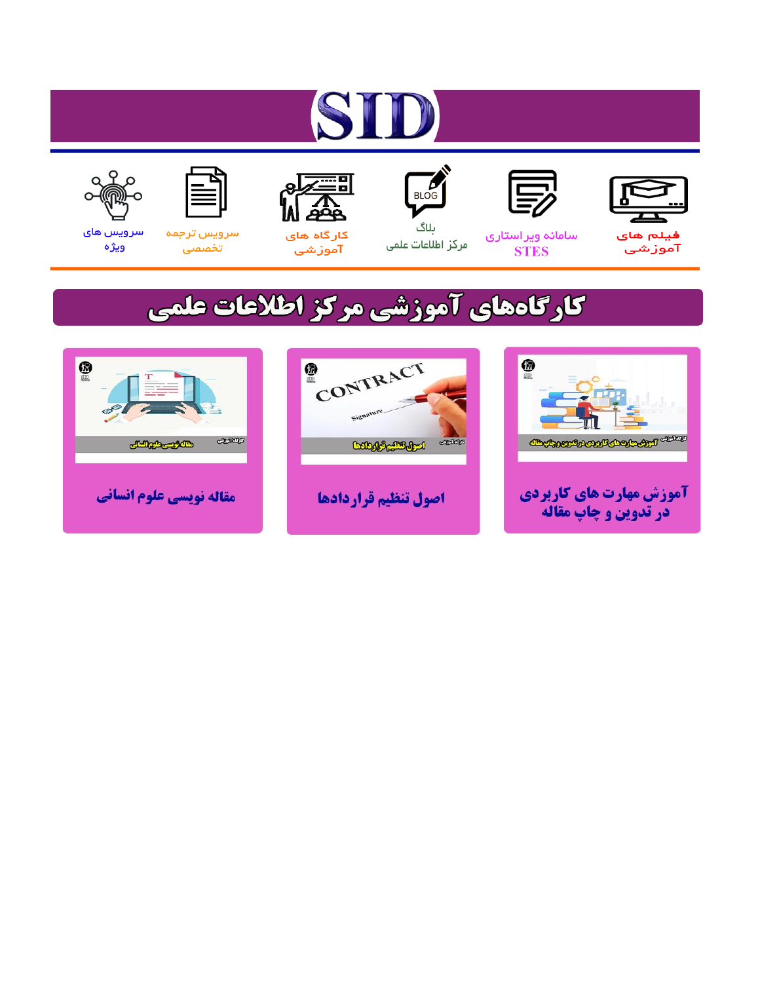# ST











مرکز اطلاعات علمی

 $\frac{1}{\sqrt{\frac{1}{100}}}$ ىلاگ



آموزشي

空

سرويس ترجمه تخصصى



سرویس های ويژه

## كارگاههای آموزشی مركز اطلاعات علمی





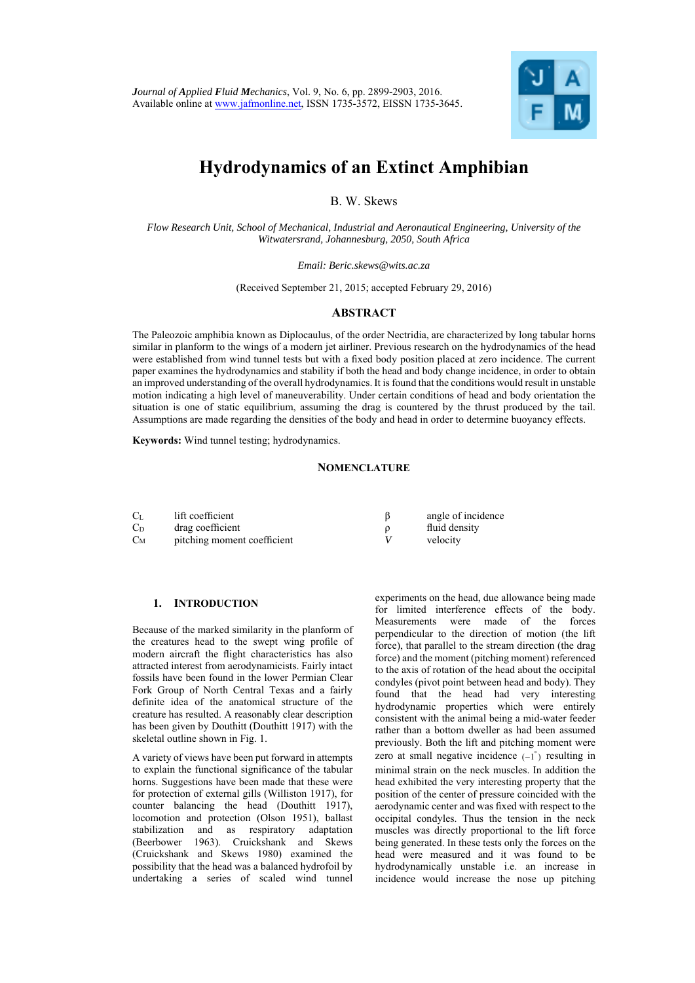

### **Hydrodynamics of an Extinct Amphibian**

B. W. Skews

*Flow Research Unit, School of Mechanical, Industrial and Aeronautical Engineering, University of the Witwatersrand, Johannesburg, 2050, South Africa* 

*Email: Beric.skews@wits.ac.za* 

(Received September 21, 2015; accepted February 29, 2016)

#### **ABSTRACT**

The Paleozoic amphibia known as Diplocaulus, of the order Nectridia, are characterized by long tabular horns similar in planform to the wings of a modern jet airliner. Previous research on the hydrodynamics of the head were established from wind tunnel tests but with a fixed body position placed at zero incidence. The current paper examines the hydrodynamics and stability if both the head and body change incidence, in order to obtain an improved understanding of the overall hydrodynamics. It is found that the conditions would result in unstable motion indicating a high level of maneuverability. Under certain conditions of head and body orientation the situation is one of static equilibrium, assuming the drag is countered by the thrust produced by the tail. Assumptions are made regarding the densities of the body and head in order to determine buoyancy effects.

**Keywords:** Wind tunnel testing; hydrodynamics.



Because of the marked similarity in the planform of the creatures head to the swept wing profile of modern aircraft the flight characteristics has also attracted interest from aerodynamicists. Fairly intact fossils have been found in the lower Permian Clear Fork Group of North Central Texas and a fairly definite idea of the anatomical structure of the creature has resulted. A reasonably clear description has been given by Douthitt (Douthitt 1917) with the skeletal outline shown in Fig. 1.

A variety of views have been put forward in attempts to explain the functional significance of the tabular horns. Suggestions have been made that these were for protection of external gills (Williston 1917), for counter balancing the head (Douthitt 1917), locomotion and protection (Olson 1951), ballast stabilization and as respiratory adaptation (Beerbower 1963). Cruickshank and Skews (Cruickshank and Skews 1980) examined the possibility that the head was a balanced hydrofoil by undertaking a series of scaled wind tunnel

experiments on the head, due allowance being made for limited interference effects of the body. Measurements were made of the forces perpendicular to the direction of motion (the lift force), that parallel to the stream direction (the drag force) and the moment (pitching moment) referenced to the axis of rotation of the head about the occipital condyles (pivot point between head and body). They found that the head had very interesting hydrodynamic properties which were entirely consistent with the animal being a mid-water feeder rather than a bottom dweller as had been assumed previously. Both the lift and pitching moment were zero at small negative incidence  $(-1)$  resulting in minimal strain on the neck muscles. In addition the head exhibited the very interesting property that the position of the center of pressure coincided with the aerodynamic center and was fixed with respect to the occipital condyles. Thus the tension in the neck muscles was directly proportional to the lift force being generated. In these tests only the forces on the head were measured and it was found to be hydrodynamically unstable i.e. an increase in incidence would increase the nose up pitching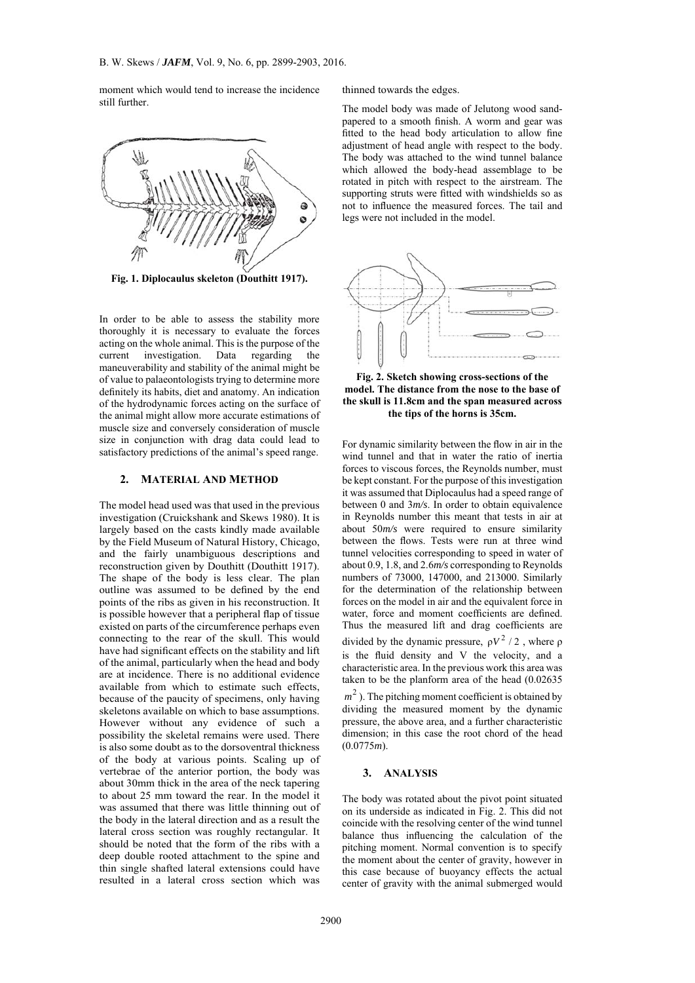moment which would tend to increase the incidence still further.



**Fig. 1. Diplocaulus skeleton (Douthitt 1917).** 

In order to be able to assess the stability more thoroughly it is necessary to evaluate the forces acting on the whole animal. This is the purpose of the current investigation. Data regarding the maneuverability and stability of the animal might be of value to palaeontologists trying to determine more definitely its habits, diet and anatomy. An indication of the hydrodynamic forces acting on the surface of the animal might allow more accurate estimations of muscle size and conversely consideration of muscle size in conjunction with drag data could lead to satisfactory predictions of the animal's speed range.

#### **2. MATERIAL AND METHOD**

The model head used was that used in the previous investigation (Cruickshank and Skews 1980). It is largely based on the casts kindly made available by the Field Museum of Natural History, Chicago, and the fairly unambiguous descriptions and reconstruction given by Douthitt (Douthitt 1917). The shape of the body is less clear. The plan outline was assumed to be defined by the end points of the ribs as given in his reconstruction. It is possible however that a peripheral flap of tissue existed on parts of the circumference perhaps even connecting to the rear of the skull. This would have had significant effects on the stability and lift of the animal, particularly when the head and body are at incidence. There is no additional evidence available from which to estimate such effects, because of the paucity of specimens, only having skeletons available on which to base assumptions. However without any evidence of such a possibility the skeletal remains were used. There is also some doubt as to the dorsoventral thickness of the body at various points. Scaling up of vertebrae of the anterior portion, the body was about 30mm thick in the area of the neck tapering to about 25 mm toward the rear. In the model it was assumed that there was little thinning out of the body in the lateral direction and as a result the lateral cross section was roughly rectangular. It should be noted that the form of the ribs with a deep double rooted attachment to the spine and thin single shafted lateral extensions could have resulted in a lateral cross section which was

thinned towards the edges.

The model body was made of Jelutong wood sandpapered to a smooth finish. A worm and gear was fitted to the head body articulation to allow fine adjustment of head angle with respect to the body. The body was attached to the wind tunnel balance which allowed the body-head assemblage to be rotated in pitch with respect to the airstream. The supporting struts were fitted with windshields so as not to influence the measured forces. The tail and legs were not included in the model.





be able to assess the stability more<br>
is necessary to evaluate the forces<br>
exsignation. Data regarding the<br>
ligy and stability of the animal might be<br>
ligy and stability of the animal might be<br>
ligy and stability of the a For dynamic similarity between the flow in air in the wind tunnel and that in water the ratio of inertia forces to viscous forces, the Reynolds number, must be kept constant. For the purpose of this investigation it was assumed that Diplocaulus had a speed range of between 0 and 3*m/s*. In order to obtain equivalence in Reynolds number this meant that tests in air at about 50*m/s* were required to ensure similarity between the flows. Tests were run at three wind tunnel velocities corresponding to speed in water of about 0.9, 1.8, and 2.6*m/s* corresponding to Reynolds numbers of 73000, 147000, and 213000. Similarly for the determination of the relationship between forces on the model in air and the equivalent force in water, force and moment coefficients are defined. Thus the measured lift and drag coefficients are divided by the dynamic pressure,  $\rho V^2 / 2$ , where  $\rho$ is the fluid density and V the velocity, and a characteristic area. In the previous work this area was taken to be the planform area of the head (0.02635  $m<sup>2</sup>$ ). The pitching moment coefficient is obtained by dividing the measured moment by the dynamic pressure, the above area, and a further characteristic dimension; in this case the root chord of the head (0.0775*m*).

#### **3. ANALYSIS**

The body was rotated about the pivot point situated on its underside as indicated in Fig. 2. This did not coincide with the resolving center of the wind tunnel balance thus influencing the calculation of the pitching moment. Normal convention is to specify the moment about the center of gravity, however in this case because of buoyancy effects the actual center of gravity with the animal submerged would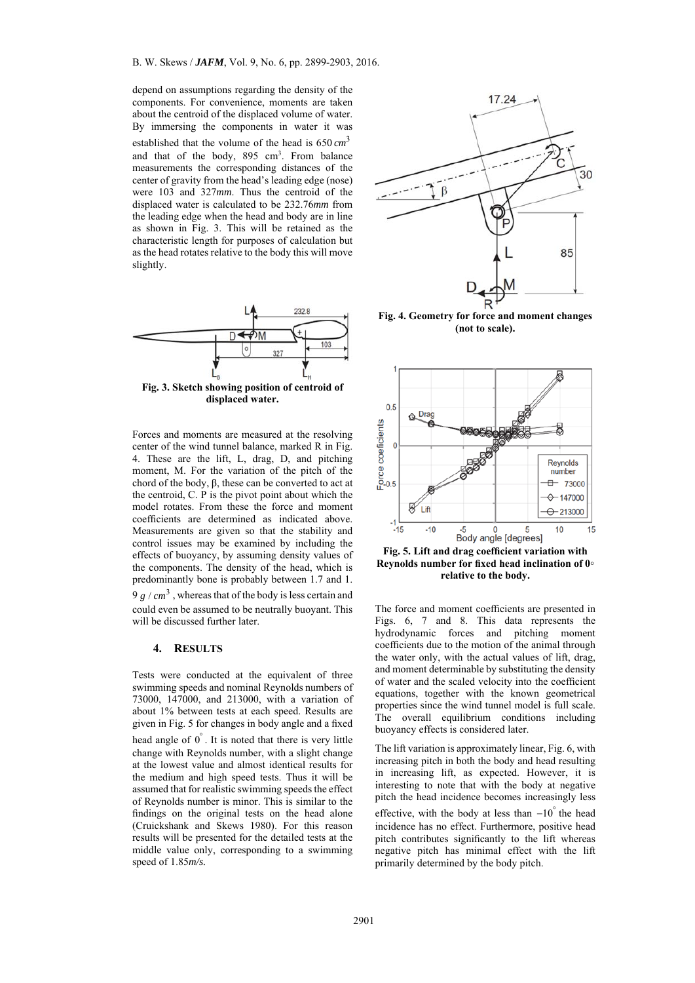depend on assumptions regarding the density of the components. For convenience, moments are taken about the centroid of the displaced volume of water. By immersing the components in water it was established that the volume of the head is  $650 \text{ cm}^3$ and that of the body, 895 cm<sup>3</sup>. From balance measurements the corresponding distances of the center of gravity from the head's leading edge (nose) were 103 and 327*mm*. Thus the centroid of the displaced water is calculated to be 232.76*mm* from the leading edge when the head and body are in line as shown in Fig. 3. This will be retained as the characteristic length for purposes of calculation but as the head rotates relative to the body this will move slightly.



**Fig. 3. Sketch showing position of centroid of displaced water.** 

Example 12228<br>
Armies and moments are measured at the resolving<br>
Arhive of the scale)<br>
Armies and moments are measured at the resolving<br>  $\frac{25}{5}$ <br>
and moments are measured at the resolving<br>
are of the wind tunnel balanc Forces and moments are measured at the resolving center of the wind tunnel balance, marked R in Fig. 4. These are the lift, L, drag, D, and pitching moment, M. For the variation of the pitch of the chord of the body,  $β$ , these can be converted to act at the centroid, C. P is the pivot point about which the model rotates. From these the force and moment coefficients are determined as indicated above. Measurements are given so that the stability and control issues may be examined by including the effects of buoyancy, by assuming density values of the components. The density of the head, which is predominantly bone is probably between 1.7 and 1.  $9 g / cm<sup>3</sup>$ , whereas that of the body is less certain and could even be assumed to be neutrally buoyant. This will be discussed further later.

#### **4. RESULTS**

Tests were conducted at the equivalent of three swimming speeds and nominal Reynolds numbers of 73000, 147000, and 213000, with a variation of about 1% between tests at each speed. Results are given in Fig. 5 for changes in body angle and a fixed head angle of  $0^{\degree}$ . It is noted that there is very little change with Reynolds number, with a slight change at the lowest value and almost identical results for the medium and high speed tests. Thus it will be assumed that for realistic swimming speeds the effect of Reynolds number is minor. This is similar to the findings on the original tests on the head alone (Cruickshank and Skews 1980). For this reason results will be presented for the detailed tests at the middle value only, corresponding to a swimming speed of 1.85*m/s.*





Fig. 5. Lift and drag coefficient variation with **Reynolds number for fixed head inclination of 0◦ relative to the body.** 

The force and moment coefficients are presented in Figs. 6, 7 and 8. This data represents the hydrodynamic forces and pitching moment coefficients due to the motion of the animal through the water only, with the actual values of lift, drag, and moment determinable by substituting the density of water and the scaled velocity into the coefficient equations, together with the known geometrical properties since the wind tunnel model is full scale. The overall equilibrium conditions including buoyancy effects is considered later.

The lift variation is approximately linear, Fig. 6, with increasing pitch in both the body and head resulting in increasing lift, as expected. However, it is interesting to note that with the body at negative pitch the head incidence becomes increasingly less effective, with the body at less than  $-10$ <sup> $\degree$ </sup> the head incidence has no effect. Furthermore, positive head pitch contributes significantly to the lift whereas negative pitch has minimal effect with the lift primarily determined by the body pitch.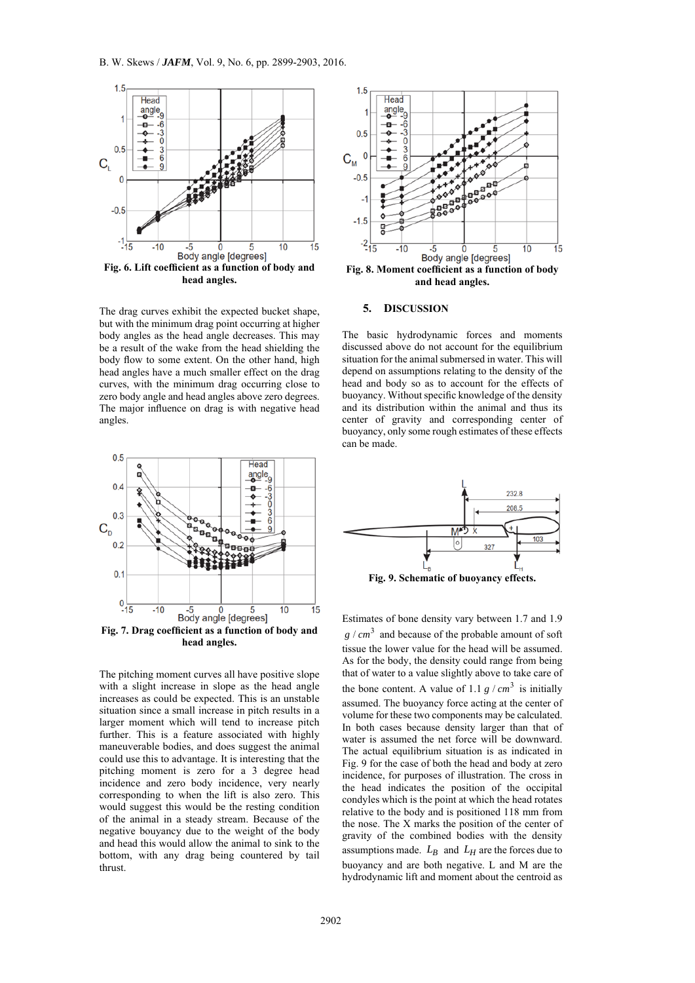

**head angles.** 

The drag curves exhibit the expected bucket shape, but with the minimum drag point occurring at higher body angles as the head angle decreases. This may be a result of the wake from the head shielding the body flow to some extent. On the other hand, high head angles have a much smaller effect on the drag curves, with the minimum drag occurring close to zero body angle and head angles above zero degrees. The major influence on drag is with negative head angles.



The pitching moment curves all have positive slope with a slight increase in slope as the head angle increases as could be expected. This is an unstable situation since a small increase in pitch results in a larger moment which will tend to increase pitch further. This is a feature associated with highly maneuverable bodies, and does suggest the animal could use this to advantage. It is interesting that the pitching moment is zero for a 3 degree head incidence and zero body incidence, very nearly corresponding to when the lift is also zero. This would suggest this would be the resting condition of the animal in a steady stream. Because of the negative bouyancy due to the weight of the body and head this would allow the animal to sink to the bottom, with any drag being countered by tail thrust.



**and head angles.** 

#### **5. DISCUSSION**

The basic hydrodynamic forces and moments discussed above do not account for the equilibrium situation for the animal submersed in water. This will depend on assumptions relating to the density of the head and body so as to account for the effects of buoyancy. Without specific knowledge of the density and its distribution within the animal and thus its center of gravity and corresponding center of buoyancy, only some rough estimates of these effects can be made



Estimates of bone density vary between 1.7 and 1.9  $g / cm<sup>3</sup>$  and because of the probable amount of soft tissue the lower value for the head will be assumed. As for the body, the density could range from being that of water to a value slightly above to take care of the bone content. A value of 1.1  $g / cm^3$  is initially assumed. The buoyancy force acting at the center of volume for these two components may be calculated. In both cases because density larger than that of water is assumed the net force will be downward. The actual equilibrium situation is as indicated in Fig. 9 for the case of both the head and body at zero incidence, for purposes of illustration. The cross in the head indicates the position of the occipital condyles which is the point at which the head rotates relative to the body and is positioned 118 mm from the nose. The X marks the position of the center of gravity of the combined bodies with the density assumptions made.  $L_B$  and  $L_H$  are the forces due to buoyancy and are both negative. L and M are the hydrodynamic lift and moment about the centroid as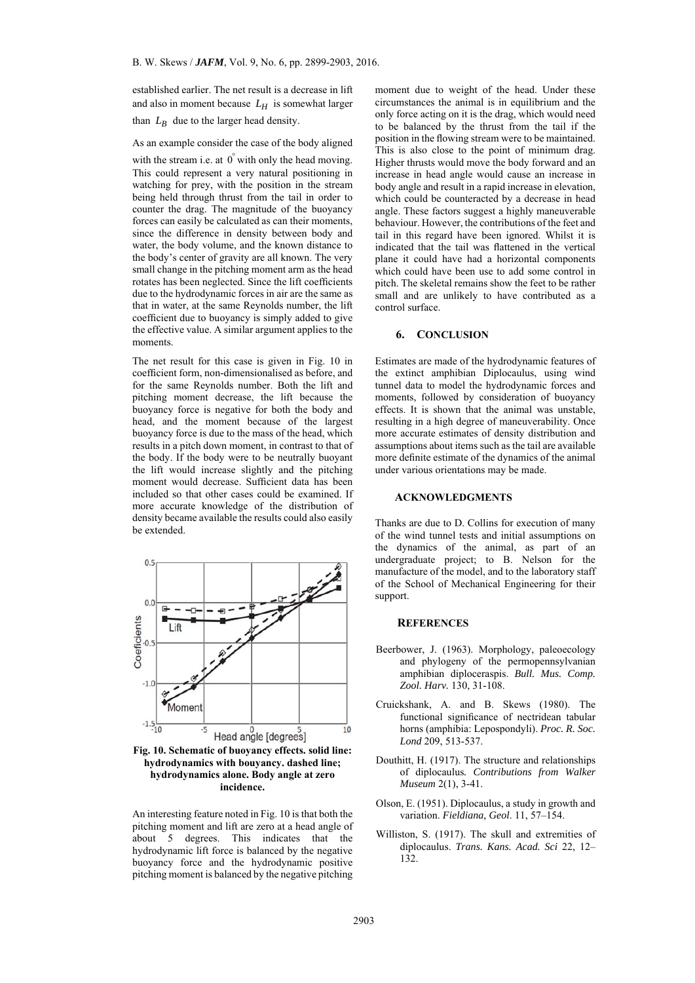established earlier. The net result is a decrease in lift and also in moment because  $L_H$  is somewhat larger than  $L_B$  due to the larger head density.

As an example consider the case of the body aligned

with the stream i.e. at  $0^{\degree}$  with only the head moving. This could represent a very natural positioning in watching for prey, with the position in the stream being held through thrust from the tail in order to counter the drag. The magnitude of the buoyancy forces can easily be calculated as can their moments, since the difference in density between body and water, the body volume, and the known distance to the body's center of gravity are all known. The very small change in the pitching moment arm as the head rotates has been neglected. Since the lift coefficients due to the hydrodynamic forces in air are the same as that in water, at the same Reynolds number, the lift coefficient due to buoyancy is simply added to give the effective value. A similar argument applies to the moments.

Aristophony and the similar and the business of the tell that the the business of the similar and the control of the similar and the extint of the similar and the extint of the similar and the extint of the similar and th The net result for this case is given in Fig. 10 in coefficient form, non-dimensionalised as before, and for the same Reynolds number. Both the lift and pitching moment decrease, the lift because the buoyancy force is negative for both the body and head, and the moment because of the largest buoyancy force is due to the mass of the head, which results in a pitch down moment, in contrast to that of the body. If the body were to be neutrally buoyant the lift would increase slightly and the pitching moment would decrease. Sufficient data has been included so that other cases could be examined. If more accurate knowledge of the distribution density became available the results could also easily be extended.



**Fig. 10. Schematic of buoyancy effects. solid line: hydrodynamics with bouyancy. dashed line; hydrodynamics alone. Body angle at zero incidence.** 

An interesting feature noted in Fig. 10 is that both the pitching moment and lift are zero at a head angle of about 5 degrees. This indicates that the hydrodynamic lift force is balanced by the negative buoyancy force and the hydrodynamic positive pitching moment is balanced by the negative pitching moment due to weight of the head. Under these circumstances the animal is in equilibrium and the only force acting on it is the drag, which would need to be balanced by the thrust from the tail if the position in the flowing stream were to be maintained. This is also close to the point of minimum drag. Higher thrusts would move the body forward and an increase in head angle would cause an increase in body angle and result in a rapid increase in elevation, which could be counteracted by a decrease in head angle. These factors suggest a highly maneuverable behaviour. However, the contributions of the feet and tail in this regard have been ignored. Whilst it is indicated that the tail was flattened in the vertical plane it could have had a horizontal components which could have been use to add some control in pitch. The skeletal remains show the feet to be rather small and are unlikely to have contributed as a control surface.

**6. CONCLUSION**

Estimates are made of the hydrodynamic features of the extinct amphibian Diplocaulus, using wind tunnel data to model the hydrodynamic forces and moments, followed by consideration of buoyancy effects. It is shown that the animal was unstable, resulting in a high degree of maneuverability. Once more accurate estimates of density distribution and assumptions about items such as the tail are available more definite estimate of the dynamics of the animal under various orientations may be made.

#### **ACKNOWLEDGMENTS**

Thanks are due to D. Collins for execution of many of the wind tunnel tests and initial assumptions on the dynamics of the animal, as part of an undergraduate project; to B. Nelson for the manufacture of the model, and to the laboratory staff of the School of Mechanical Engineering for their support.

#### **REFERENCES**

- Beerbower, J. (1963). Morphology, paleoecology and phylogeny of the permopennsylvanian amphibian diploceraspis. *Bull. Mus. Comp. Zool. Harv.* 130, 31-108.
- Cruickshank, A. and B. Skews (1980). The functional significance of nectridean tabular horns (amphibia: Lepospondyli). *Proc. R. Soc. Lond* 209, 513-537.
- Douthitt, H. (1917). The structure and relationships of diplocaulus*. Contributions from Walker Museum* 2(1), 3-41.
- Olson, E. (1951). Diplocaulus, a study in growth and variation. *Fieldiana, Geol*. 11, 57–154.
- Williston, S. (1917). The skull and extremities of diplocaulus. *Trans. Kans. Acad. Sci* 22, 12– 132.